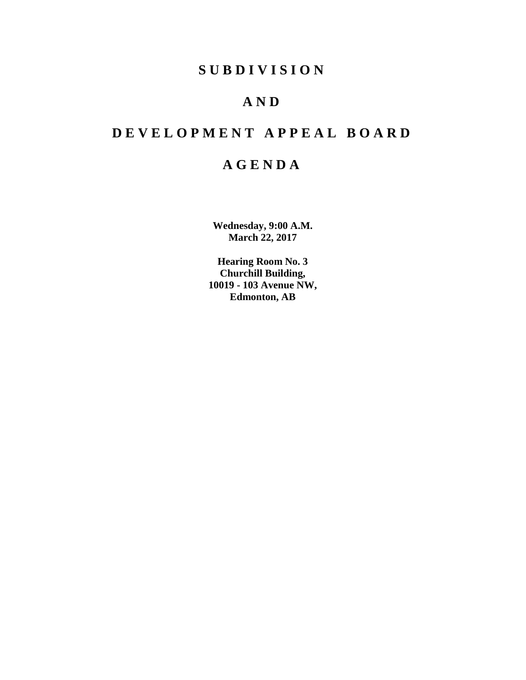## **SUBDIVISION**

# **AND**

# **DEVELOPMENT APPEAL BOARD**

# **AGENDA**

**Wednesday, 9:00 A.M. March 22, 2017**

**Hearing Room No. 3 Churchill Building, 10019 - 103 Avenue NW, Edmonton, AB**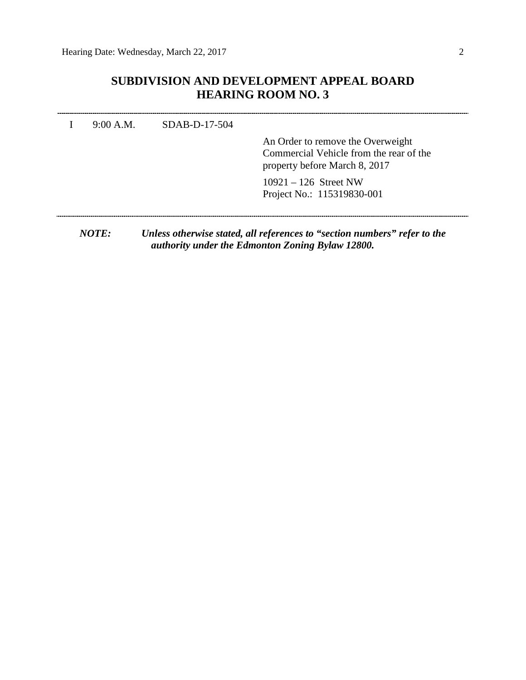## **SUBDIVISION AND DEVELOPMENT APPEAL BOARD HEARING ROOM NO. 3**

|  | An Order to remove the Overweight<br>Commercial Vehicle from the rear of the<br>property before March 8, 2017 |
|--|---------------------------------------------------------------------------------------------------------------|
|  | $10921 - 126$ Street NW<br>Project No.: 115319830-001                                                         |

*NOTE: Unless otherwise stated, all references to "section numbers" refer to the authority under the Edmonton Zoning Bylaw 12800.*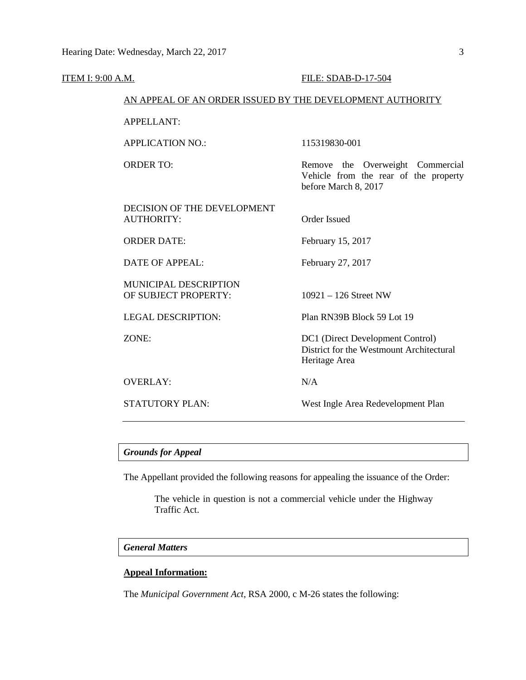| <b>ITEM I: 9:00 A.M.</b> |                                                           | FILE: SDAB-D-17-504                                                                               |  |
|--------------------------|-----------------------------------------------------------|---------------------------------------------------------------------------------------------------|--|
|                          | AN APPEAL OF AN ORDER ISSUED BY THE DEVELOPMENT AUTHORITY |                                                                                                   |  |
|                          | <b>APPELLANT:</b>                                         |                                                                                                   |  |
|                          | <b>APPLICATION NO.:</b>                                   | 115319830-001                                                                                     |  |
|                          | <b>ORDER TO:</b>                                          | Remove the Overweight Commercial<br>Vehicle from the rear of the property<br>before March 8, 2017 |  |
|                          | DECISION OF THE DEVELOPMENT<br><b>AUTHORITY:</b>          | <b>Order Issued</b>                                                                               |  |
|                          | <b>ORDER DATE:</b>                                        | February 15, 2017                                                                                 |  |
|                          | <b>DATE OF APPEAL:</b>                                    | February 27, 2017                                                                                 |  |
|                          | MUNICIPAL DESCRIPTION<br>OF SUBJECT PROPERTY:             | $10921 - 126$ Street NW                                                                           |  |
|                          | <b>LEGAL DESCRIPTION:</b>                                 | Plan RN39B Block 59 Lot 19                                                                        |  |
|                          | ZONE:                                                     | DC1 (Direct Development Control)<br>District for the Westmount Architectural<br>Heritage Area     |  |
|                          | <b>OVERLAY:</b>                                           | N/A                                                                                               |  |
|                          | <b>STATUTORY PLAN:</b>                                    | West Ingle Area Redevelopment Plan                                                                |  |
|                          |                                                           |                                                                                                   |  |

## *Grounds for Appeal*

The Appellant provided the following reasons for appealing the issuance of the Order:

The vehicle in question is not a commercial vehicle under the Highway Traffic Act.

#### *General Matters*

## **Appeal Information:**

The *Municipal Government Act*, RSA 2000, c M-26 states the following: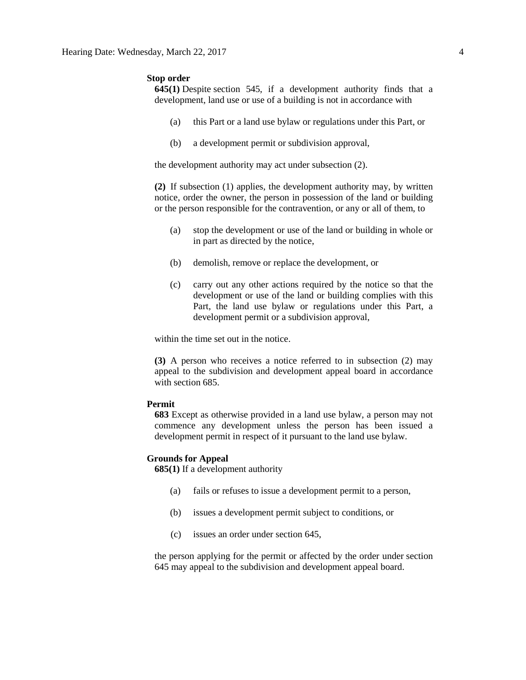#### **Stop order**

**645(1)** Despite [section 545,](https://www.canlii.org/en/ab/laws/stat/rsa-2000-c-m-26/latest/rsa-2000-c-m-26.html%23sec545_smooth) if a development authority finds that a development, land use or use of a building is not in accordance with

- (a) this Part or a land use bylaw or regulations under this Part, or
- (b) a development permit or subdivision approval,

the development authority may act under subsection (2).

**(2)** If subsection (1) applies, the development authority may, by written notice, order the owner, the person in possession of the land or building or the person responsible for the contravention, or any or all of them, to

- (a) stop the development or use of the land or building in whole or in part as directed by the notice,
- (b) demolish, remove or replace the development, or
- (c) carry out any other actions required by the notice so that the development or use of the land or building complies with this Part, the land use bylaw or regulations under this Part, a development permit or a subdivision approval,

within the time set out in the notice.

**(3)** A person who receives a notice referred to in subsection (2) may appeal to the subdivision and development appeal board in accordance with [section 685.](https://www.canlii.org/en/ab/laws/stat/rsa-2000-c-m-26/latest/rsa-2000-c-m-26.html%23sec685_smooth)

#### **Permit**

**683** Except as otherwise provided in a land use bylaw, a person may not commence any development unless the person has been issued a development permit in respect of it pursuant to the land use bylaw.

#### **Grounds for Appeal**

**685(1)** If a development authority

- (a) fails or refuses to issue a development permit to a person,
- (b) issues a development permit subject to conditions, or
- (c) issues an order under section 645,

the person applying for the permit or affected by the order under section 645 may appeal to the subdivision and development appeal board.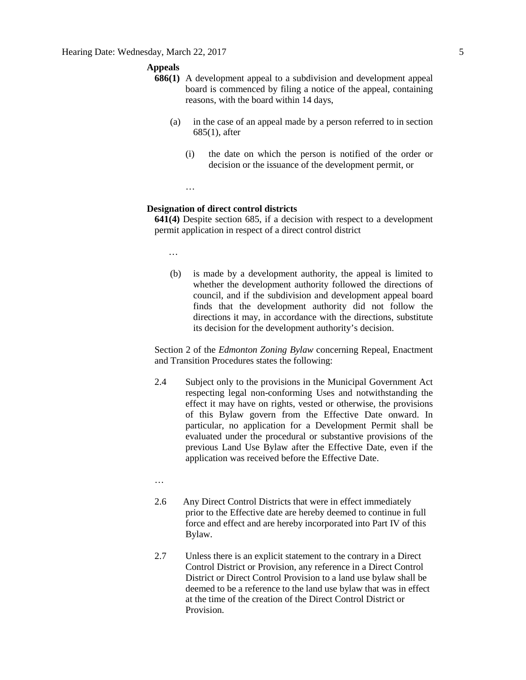#### **Appeals**

- **686(1)** A development appeal to a subdivision and development appeal board is commenced by filing a notice of the appeal, containing reasons, with the board within 14 days,
	- (a) in the case of an appeal made by a person referred to in section 685(1), after
		- (i) the date on which the person is notified of the order or decision or the issuance of the development permit, or

…

#### **Designation of direct control districts**

**641(4)** Despite section 685, if a decision with respect to a development permit application in respect of a direct control district

…

(b) is made by a development authority, the appeal is limited to whether the development authority followed the directions of council, and if the subdivision and development appeal board finds that the development authority did not follow the directions it may, in accordance with the directions, substitute its decision for the development authority's decision.

Section 2 of the *Edmonton Zoning Bylaw* concerning Repeal, Enactment and Transition Procedures states the following:

2.4 Subject only to the provisions in the Municipal Government Act respecting legal non-conforming Uses and notwithstanding the effect it may have on rights, vested or otherwise, the provisions of this Bylaw govern from the Effective Date onward. In particular, no application for a Development Permit shall be evaluated under the procedural or substantive provisions of the previous Land Use Bylaw after the Effective Date, even if the application was received before the Effective Date.

…

- 2.6 Any Direct Control Districts that were in effect immediately prior to the Effective date are hereby deemed to continue in full force and effect and are hereby incorporated into Part IV of this Bylaw.
- 2.7 Unless there is an explicit statement to the contrary in a Direct Control District or Provision, any reference in a Direct Control District or Direct Control Provision to a land use bylaw shall be deemed to be a reference to the land use bylaw that was in effect at the time of the creation of the Direct Control District or **Provision**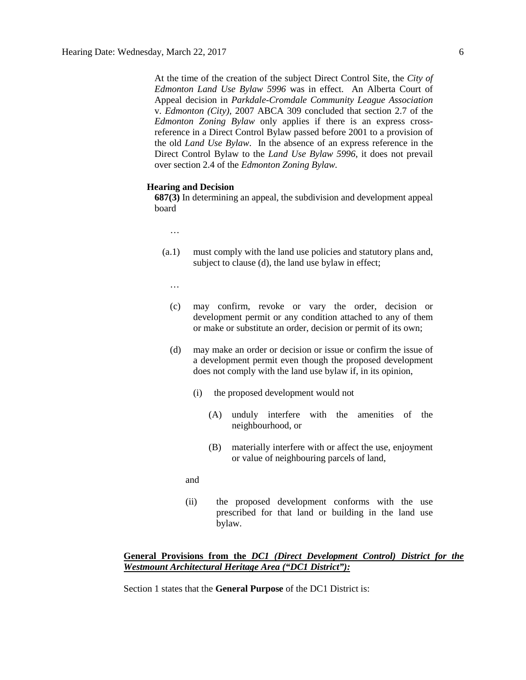At the time of the creation of the subject Direct Control Site, the *City of Edmonton Land Use Bylaw 5996* was in effect. An Alberta Court of Appeal decision in *Parkdale-Cromdale Community League Association*  v. *Edmonton (City),* 2007 ABCA 309 concluded that section 2.7 of the *Edmonton Zoning Bylaw* only applies if there is an express crossreference in a Direct Control Bylaw passed before 2001 to a provision of the old *Land Use Bylaw*. In the absence of an express reference in the Direct Control Bylaw to the *Land Use Bylaw 5996*, it does not prevail over section 2.4 of the *Edmonton Zoning Bylaw.*

#### **Hearing and Decision**

**687(3)** In determining an appeal, the subdivision and development appeal board

- …
- (a.1) must comply with the land use policies and statutory plans and, subject to clause (d), the land use bylaw in effect;
	- …
	- (c) may confirm, revoke or vary the order, decision or development permit or any condition attached to any of them or make or substitute an order, decision or permit of its own;
	- (d) may make an order or decision or issue or confirm the issue of a development permit even though the proposed development does not comply with the land use bylaw if, in its opinion,
		- (i) the proposed development would not
			- (A) unduly interfere with the amenities of the neighbourhood, or
			- (B) materially interfere with or affect the use, enjoyment or value of neighbouring parcels of land,
		- and
		- (ii) the proposed development conforms with the use prescribed for that land or building in the land use bylaw.

### **General Provisions from the** *DC1 (Direct Development Control) District for the Westmount Architectural Heritage Area ("DC1 District"):*

Section 1 states that the **General Purpose** of the DC1 District is: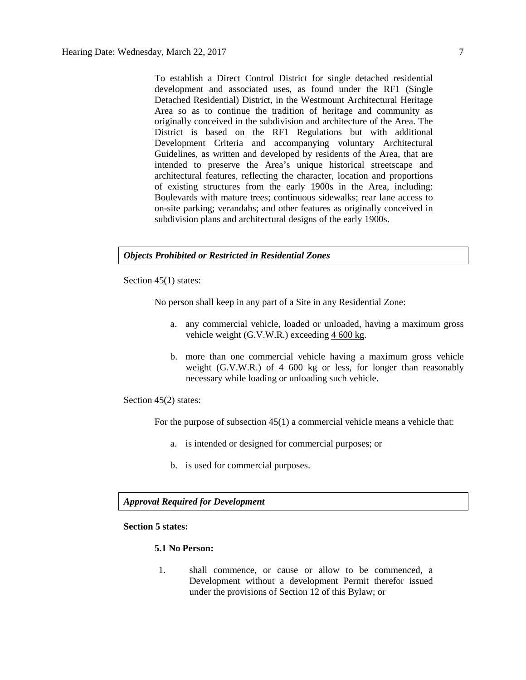To establish a Direct Control District for single detached residential development and associated uses, as found under the RF1 (Single Detached Residential) District, in the Westmount Architectural Heritage Area so as to continue the tradition of heritage and community as originally conceived in the subdivision and architecture of the Area. The District is based on the RF1 Regulations but with additional Development Criteria and accompanying voluntary Architectural Guidelines, as written and developed by residents of the Area, that are intended to preserve the Area's unique historical streetscape and architectural features, reflecting the character, location and proportions of existing structures from the early 1900s in the Area, including: Boulevards with mature trees; continuous sidewalks; rear lane access to on-site parking; verandahs; and other features as originally conceived in subdivision plans and architectural designs of the early 1900s.

## *Objects Prohibited or Restricted in Residential Zones*

Section 45(1) states:

No person shall keep in any part of a Site in any Residential Zone:

- a. any commercial vehicle, loaded or unloaded, having a maximum gross vehicle weight (G.V.W.R.) exceeding  $4600 \text{ kg}$  $4600 \text{ kg}$  $4600 \text{ kg}$ .
- b. more than one commercial vehicle having a maximum gross vehicle weight (G.V.W.R.) of  $4,600 \text{ kg}$  or less, for longer than reasonably necessary while loading or unloading such vehicle.

Section 45(2) states:

For the purpose of subsection 45(1) a commercial vehicle means a vehicle that:

- a. is intended or designed for commercial purposes; or
- b. is used for commercial purposes.

## *Approval Required for Development*

#### **Section 5 states:**

#### **5.1 No Person:**

1. shall commence, or cause or allow to be commenced, a Development without a development Permit therefor issued under the provisions of Section 12 of this Bylaw; or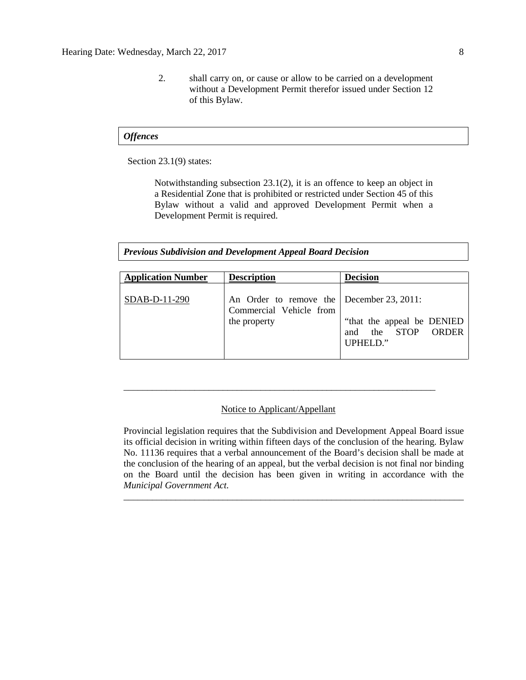2. shall carry on, or cause or allow to be carried on a development without a Development Permit therefor issued under Section 12 of this Bylaw.

#### *Offences*

Section 23.1(9) states:

Notwithstanding subsection 23.1(2), it is an offence to keep an object in a Residential Zone that is prohibited or restricted under Section 45 of this Bylaw without a valid and approved Development Permit when a Development Permit is required.

*Previous Subdivision and Development Appeal Board Decision*

| <b>Application Number</b> | <b>Description</b>                                                                   | <b>Decision</b>                                                        |
|---------------------------|--------------------------------------------------------------------------------------|------------------------------------------------------------------------|
| SDAB-D-11-290             | An Order to remove the December 23, 2011:<br>Commercial Vehicle from<br>the property | "that the appeal be DENIED<br>and the STOP<br><b>ORDER</b><br>UPHELD." |

#### Notice to Applicant/Appellant

\_\_\_\_\_\_\_\_\_\_\_\_\_\_\_\_\_\_\_\_\_\_\_\_\_\_\_\_\_\_\_\_\_\_\_\_\_\_\_\_\_\_\_\_\_\_\_\_\_\_\_\_\_\_\_\_\_\_\_\_\_\_\_\_\_\_

Provincial legislation requires that the Subdivision and Development Appeal Board issue its official decision in writing within fifteen days of the conclusion of the hearing. Bylaw No. 11136 requires that a verbal announcement of the Board's decision shall be made at the conclusion of the hearing of an appeal, but the verbal decision is not final nor binding on the Board until the decision has been given in writing in accordance with the *Municipal Government Act.*

\_\_\_\_\_\_\_\_\_\_\_\_\_\_\_\_\_\_\_\_\_\_\_\_\_\_\_\_\_\_\_\_\_\_\_\_\_\_\_\_\_\_\_\_\_\_\_\_\_\_\_\_\_\_\_\_\_\_\_\_\_\_\_\_\_\_\_\_\_\_\_\_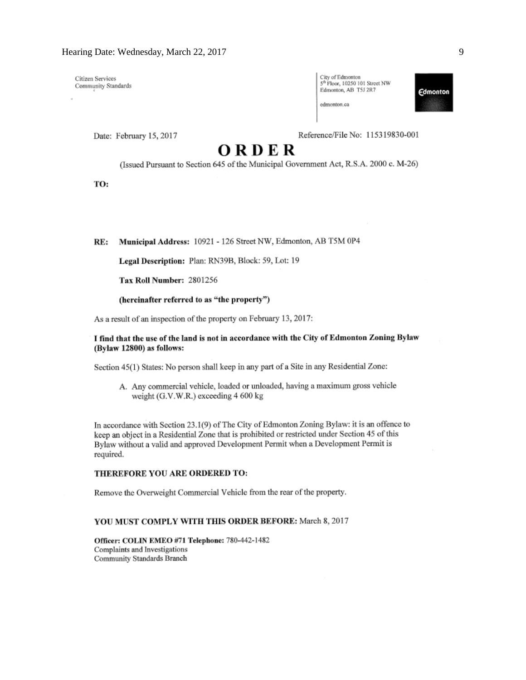Citizen Services Community Standards

| City of Edmonton                           |  |
|--------------------------------------------|--|
| 5 <sup>th</sup> Floor, 10250 101 Street NW |  |
| Edmonton, AB T5J 2R7                       |  |

edmonton.ca

**Edmonton** 

Date: February 15, 2017

Reference/File No: 115319830-001

# ORDER

(Issued Pursuant to Section 645 of the Municipal Government Act, R.S.A. 2000 c. M-26)

TO:

Municipal Address: 10921 - 126 Street NW, Edmonton, AB T5M 0P4 RE:

Legal Description: Plan: RN39B, Block: 59, Lot: 19

Tax Roll Number: 2801256

#### (hereinafter referred to as "the property")

As a result of an inspection of the property on February 13, 2017:

#### I find that the use of the land is not in accordance with the City of Edmonton Zoning Bylaw (Bylaw 12800) as follows:

Section 45(1) States: No person shall keep in any part of a Site in any Residential Zone:

A. Any commercial vehicle, loaded or unloaded, having a maximum gross vehicle weight (G.V.W.R.) exceeding 4 600 kg

In accordance with Section 23.1(9) of The City of Edmonton Zoning Bylaw: it is an offence to keep an object in a Residential Zone that is prohibited or restricted under Section 45 of this Bylaw without a valid and approved Development Permit when a Development Permit is required.

#### THEREFORE YOU ARE ORDERED TO:

Remove the Overweight Commercial Vehicle from the rear of the property.

#### YOU MUST COMPLY WITH THIS ORDER BEFORE: March 8, 2017

Officer: COLIN EMEO #71 Telephone: 780-442-1482 Complaints and Investigations Community Standards Branch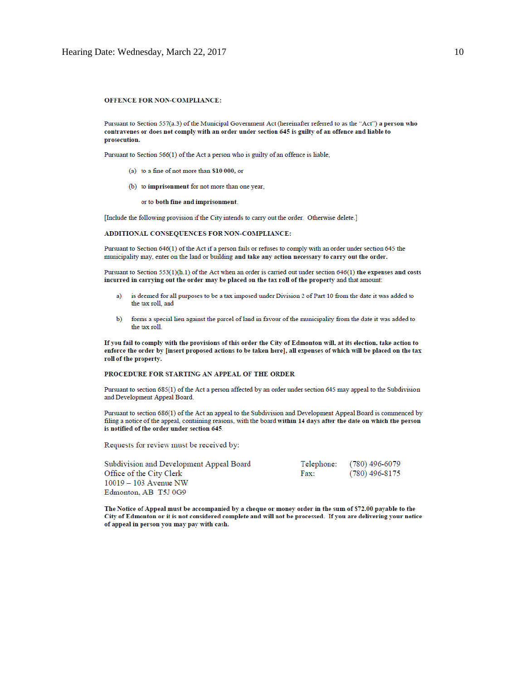#### OFFENCE FOR NON-COMPLIANCE:

Pursuant to Section 557(a.3) of the Municipal Government Act (hereinafter referred to as the "Act") a person who contravenes or does not comply with an order under section 645 is guilty of an offence and liable to prosecution.

Pursuant to Section 566(1) of the Act a person who is guilty of an offence is liable,

- (a) to a fine of not more than \$10 000, or
- (b) to imprisonment for not more than one year,

or to both fine and imprisonment.

[Include the following provision if the City intends to carry out the order. Otherwise delete.]

#### ADDITIONAL CONSEQUENCES FOR NON-COMPLIANCE:

Pursuant to Section 646(1) of the Act if a person fails or refuses to comply with an order under section 645 the municipality may, enter on the land or building and take any action necessary to carry out the order.

Pursuant to Section  $553(1)(h.1)$  of the Act when an order is carried out under section  $646(1)$  the expenses and costs incurred in carrying out the order may be placed on the tax roll of the property and that amount:

- is deemed for all purposes to be a tax imposed under Division 2 of Part 10 from the date it was added to a) the tax roll, and
- $<sub>b</sub>$ </sub> forms a special lien against the parcel of land in favour of the municipality from the date it was added to the tax roll.

If you fail to comply with the provisions of this order the City of Edmonton will, at its election, take action to enforce the order by [insert proposed actions to be taken here], all expenses of which will be placed on the tax roll of the property.

#### PROCEDURE FOR STARTING AN APPEAL OF THE ORDER

Pursuant to section 685(1) of the Act a person affected by an order under section 645 may appeal to the Subdivision and Development Appeal Board.

Pursuant to section 686(1) of the Act an appeal to the Subdivision and Development Appeal Board is commenced by filing a notice of the appeal, containing reasons, with the board within 14 days after the date on which the person is notified of the order under section 645.

Requests for review must be received by:

| Subdivision and Development Appeal Board |      | Telephone: (780) 496-6079 |
|------------------------------------------|------|---------------------------|
| Office of the City Clerk                 | Fax: | (780) 496-8175            |
| $10019 - 103$ Avenue NW                  |      |                           |
| Edmonton, AB T5J 0G9                     |      |                           |

The Notice of Appeal must be accompanied by a cheque or money order in the sum of \$72.00 payable to the City of Edmonton or it is not considered complete and will not be processed. If you are delivering your notice of appeal in person you may pay with cash.